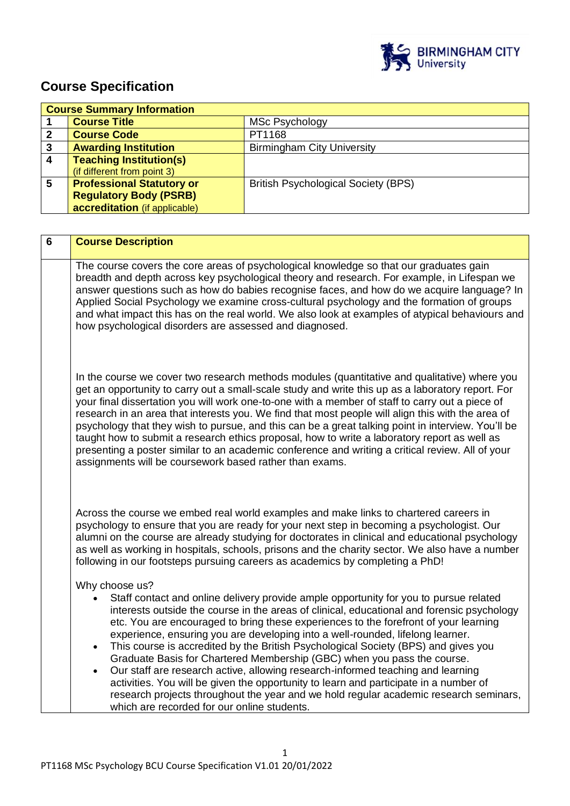

# **Course Specification**

| <b>Course Summary Information</b> |                                  |                                            |
|-----------------------------------|----------------------------------|--------------------------------------------|
|                                   | <b>Course Title</b>              | <b>MSc Psychology</b>                      |
|                                   | <b>Course Code</b>               | PT1168                                     |
| 3                                 | <b>Awarding Institution</b>      | <b>Birmingham City University</b>          |
| 4                                 | <b>Teaching Institution(s)</b>   |                                            |
|                                   | (if different from point 3)      |                                            |
| 5                                 | <b>Professional Statutory or</b> | <b>British Psychological Society (BPS)</b> |
|                                   | <b>Regulatory Body (PSRB)</b>    |                                            |
|                                   | accreditation (if applicable)    |                                            |

| 6 | <b>Course Description</b>                                                                                                                                                                                                                                                                                                                                                                                                                                                                                                                                                                                                                                                                                                                                                                                                                                                                                   |
|---|-------------------------------------------------------------------------------------------------------------------------------------------------------------------------------------------------------------------------------------------------------------------------------------------------------------------------------------------------------------------------------------------------------------------------------------------------------------------------------------------------------------------------------------------------------------------------------------------------------------------------------------------------------------------------------------------------------------------------------------------------------------------------------------------------------------------------------------------------------------------------------------------------------------|
|   | The course covers the core areas of psychological knowledge so that our graduates gain<br>breadth and depth across key psychological theory and research. For example, in Lifespan we<br>answer questions such as how do babies recognise faces, and how do we acquire language? In<br>Applied Social Psychology we examine cross-cultural psychology and the formation of groups<br>and what impact this has on the real world. We also look at examples of atypical behaviours and<br>how psychological disorders are assessed and diagnosed.                                                                                                                                                                                                                                                                                                                                                             |
|   | In the course we cover two research methods modules (quantitative and qualitative) where you<br>get an opportunity to carry out a small-scale study and write this up as a laboratory report. For<br>your final dissertation you will work one-to-one with a member of staff to carry out a piece of<br>research in an area that interests you. We find that most people will align this with the area of<br>psychology that they wish to pursue, and this can be a great talking point in interview. You'll be<br>taught how to submit a research ethics proposal, how to write a laboratory report as well as<br>presenting a poster similar to an academic conference and writing a critical review. All of your<br>assignments will be coursework based rather than exams.                                                                                                                              |
|   | Across the course we embed real world examples and make links to chartered careers in<br>psychology to ensure that you are ready for your next step in becoming a psychologist. Our<br>alumni on the course are already studying for doctorates in clinical and educational psychology<br>as well as working in hospitals, schools, prisons and the charity sector. We also have a number<br>following in our footsteps pursuing careers as academics by completing a PhD!                                                                                                                                                                                                                                                                                                                                                                                                                                  |
|   | Why choose us?<br>Staff contact and online delivery provide ample opportunity for you to pursue related<br>$\bullet$<br>interests outside the course in the areas of clinical, educational and forensic psychology<br>etc. You are encouraged to bring these experiences to the forefront of your learning<br>experience, ensuring you are developing into a well-rounded, lifelong learner.<br>This course is accredited by the British Psychological Society (BPS) and gives you<br>$\bullet$<br>Graduate Basis for Chartered Membership (GBC) when you pass the course.<br>Our staff are research active, allowing research-informed teaching and learning<br>$\bullet$<br>activities. You will be given the opportunity to learn and participate in a number of<br>research projects throughout the year and we hold regular academic research seminars,<br>which are recorded for our online students. |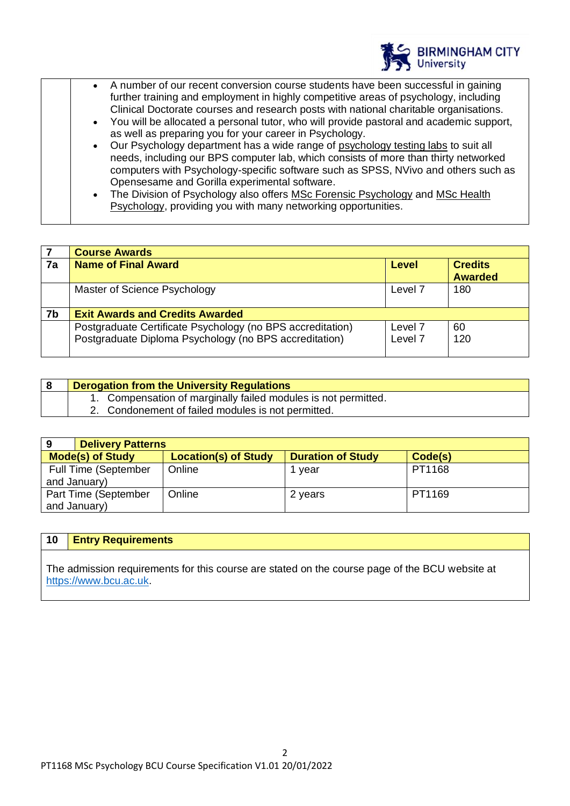

- A number of our recent conversion course students have been successful in gaining further training and employment in highly competitive areas of psychology, including Clinical Doctorate courses and research posts with national charitable organisations.
- You will be allocated a personal tutor, who will provide pastoral and academic support, as well as preparing you for your career in Psychology.
- Our Psychology department has a wide range of [psychology testing labs](https://www.bcu.ac.uk/social-sciences/about-us/our-facilities/school-of-social-sciences-facilities) to suit all needs, including our BPS computer lab, which consists of more than thirty networked computers with Psychology-specific software such as SPSS, NVivo and others such as Opensesame and Gorilla experimental software.
- The Division of Psychology also offers [MSc Forensic Psychology](https://www.bcu.ac.uk/social-sciences/courses/forensic-psychology-msc-2018-19) and [MSc Health](https://www.bcu.ac.uk/social-sciences/courses/health-psychology-msc-2018-19)  [Psychology,](https://www.bcu.ac.uk/social-sciences/courses/health-psychology-msc-2018-19) providing you with many networking opportunities.

|    | <b>Course Awards</b>                                                                                                 |                                          |                                  |
|----|----------------------------------------------------------------------------------------------------------------------|------------------------------------------|----------------------------------|
| 7a | <b>Name of Final Award</b>                                                                                           | Level                                    | <b>Credits</b><br><b>Awarded</b> |
|    | Master of Science Psychology                                                                                         | Level <sub>7</sub>                       | 180                              |
| 7b | <b>Exit Awards and Credits Awarded</b>                                                                               |                                          |                                  |
|    | Postgraduate Certificate Psychology (no BPS accreditation)<br>Postgraduate Diploma Psychology (no BPS accreditation) | Level <sub>7</sub><br>Level <sub>7</sub> | 60<br>120                        |

|  | Derogation from the University Regulations                     |
|--|----------------------------------------------------------------|
|  | 1. Compensation of marginally failed modules is not permitted. |
|  | 2. Condonement of failed modules is not permitted.             |

| 9                           | <b>Delivery Patterns</b>    |                          |         |  |  |
|-----------------------------|-----------------------------|--------------------------|---------|--|--|
| <b>Mode(s) of Study</b>     | <b>Location(s) of Study</b> | <b>Duration of Study</b> | Code(s) |  |  |
| <b>Full Time (September</b> | Online<br>1 year            |                          | PT1168  |  |  |
| and January)                |                             |                          |         |  |  |
| Part Time (September        | Online                      | 2 years                  | PT1169  |  |  |
| and January)                |                             |                          |         |  |  |

### **10 Entry Requirements**

The admission requirements for this course are stated on the course page of the BCU website at [https://www.bcu.ac.uk.](https://www.bcu.ac.uk/)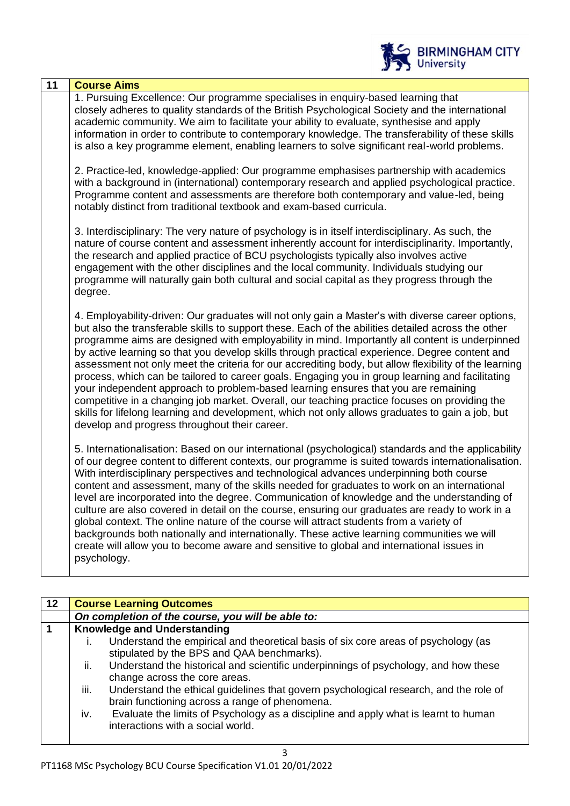

| 11 | <b>Course Aims</b>                                                                                                                                                                                                                                                                                                                                                                                                                                                                                                                                                                                                                                                                                                                                                                                                                                                                                                                                                  |
|----|---------------------------------------------------------------------------------------------------------------------------------------------------------------------------------------------------------------------------------------------------------------------------------------------------------------------------------------------------------------------------------------------------------------------------------------------------------------------------------------------------------------------------------------------------------------------------------------------------------------------------------------------------------------------------------------------------------------------------------------------------------------------------------------------------------------------------------------------------------------------------------------------------------------------------------------------------------------------|
|    | 1. Pursuing Excellence: Our programme specialises in enquiry-based learning that<br>closely adheres to quality standards of the British Psychological Society and the international<br>academic community. We aim to facilitate your ability to evaluate, synthesise and apply<br>information in order to contribute to contemporary knowledge. The transferability of these skills<br>is also a key programme element, enabling learners to solve significant real-world problems.                                                                                                                                                                                                                                                                                                                                                                                                                                                                                 |
|    | 2. Practice-led, knowledge-applied: Our programme emphasises partnership with academics<br>with a background in (international) contemporary research and applied psychological practice.<br>Programme content and assessments are therefore both contemporary and value-led, being<br>notably distinct from traditional textbook and exam-based curricula.                                                                                                                                                                                                                                                                                                                                                                                                                                                                                                                                                                                                         |
|    | 3. Interdisciplinary: The very nature of psychology is in itself interdisciplinary. As such, the<br>nature of course content and assessment inherently account for interdisciplinarity. Importantly,<br>the research and applied practice of BCU psychologists typically also involves active<br>engagement with the other disciplines and the local community. Individuals studying our<br>programme will naturally gain both cultural and social capital as they progress through the<br>degree.                                                                                                                                                                                                                                                                                                                                                                                                                                                                  |
|    | 4. Employability-driven: Our graduates will not only gain a Master's with diverse career options,<br>but also the transferable skills to support these. Each of the abilities detailed across the other<br>programme aims are designed with employability in mind. Importantly all content is underpinned<br>by active learning so that you develop skills through practical experience. Degree content and<br>assessment not only meet the criteria for our accrediting body, but allow flexibility of the learning<br>process, which can be tailored to career goals. Engaging you in group learning and facilitating<br>your independent approach to problem-based learning ensures that you are remaining<br>competitive in a changing job market. Overall, our teaching practice focuses on providing the<br>skills for lifelong learning and development, which not only allows graduates to gain a job, but<br>develop and progress throughout their career. |
|    | 5. Internationalisation: Based on our international (psychological) standards and the applicability<br>of our degree content to different contexts, our programme is suited towards internationalisation.<br>With interdisciplinary perspectives and technological advances underpinning both course<br>content and assessment, many of the skills needed for graduates to work on an international<br>level are incorporated into the degree. Communication of knowledge and the understanding of<br>culture are also covered in detail on the course, ensuring our graduates are ready to work in a<br>global context. The online nature of the course will attract students from a variety of<br>backgrounds both nationally and internationally. These active learning communities we will<br>create will allow you to become aware and sensitive to global and international issues in<br>psychology.                                                          |

| 12 |              | <b>Course Learning Outcomes</b>                                                                                                         |
|----|--------------|-----------------------------------------------------------------------------------------------------------------------------------------|
|    |              | On completion of the course, you will be able to:                                                                                       |
|    |              | <b>Knowledge and Understanding</b>                                                                                                      |
|    | $\mathbf{L}$ | Understand the empirical and theoretical basis of six core areas of psychology (as<br>stipulated by the BPS and QAA benchmarks).        |
|    | ii.          | Understand the historical and scientific underpinnings of psychology, and how these<br>change across the core areas.                    |
|    | iii.         | Understand the ethical guidelines that govern psychological research, and the role of<br>brain functioning across a range of phenomena. |
|    | iv.          | Evaluate the limits of Psychology as a discipline and apply what is learnt to human<br>interactions with a social world.                |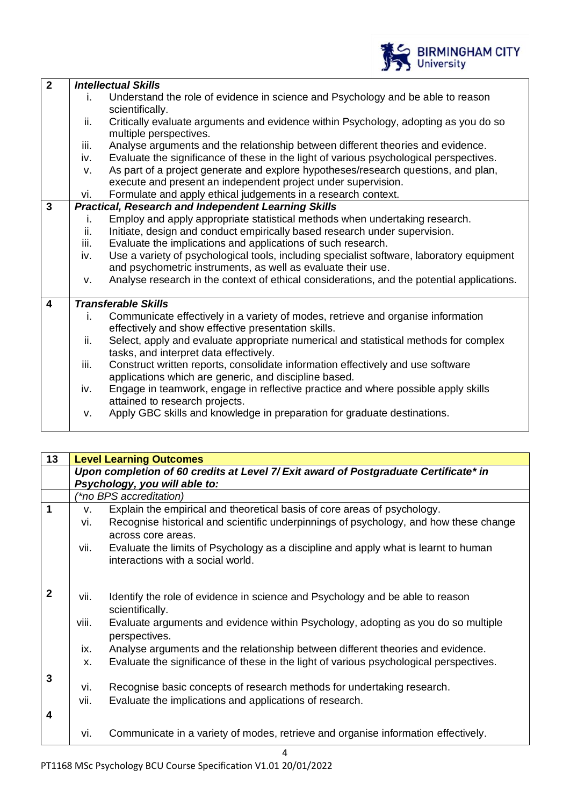|                         |      | <b>BIRMINGHAM CITY</b><br>University                                                                                                                      |
|-------------------------|------|-----------------------------------------------------------------------------------------------------------------------------------------------------------|
| $\overline{2}$          |      | <b>Intellectual Skills</b>                                                                                                                                |
|                         | i.   | Understand the role of evidence in science and Psychology and be able to reason<br>scientifically.                                                        |
|                         | ii.  | Critically evaluate arguments and evidence within Psychology, adopting as you do so<br>multiple perspectives.                                             |
|                         | iii. | Analyse arguments and the relationship between different theories and evidence.                                                                           |
|                         | iv.  | Evaluate the significance of these in the light of various psychological perspectives.                                                                    |
|                         | v.   | As part of a project generate and explore hypotheses/research questions, and plan,                                                                        |
|                         |      | execute and present an independent project under supervision.                                                                                             |
| $\overline{3}$          | vi.  | Formulate and apply ethical judgements in a research context.                                                                                             |
|                         | i.   | <b>Practical, Research and Independent Learning Skills</b>                                                                                                |
|                         | ii.  | Employ and apply appropriate statistical methods when undertaking research.<br>Initiate, design and conduct empirically based research under supervision. |
|                         | iii. | Evaluate the implications and applications of such research.                                                                                              |
|                         | iv.  | Use a variety of psychological tools, including specialist software, laboratory equipment                                                                 |
|                         |      | and psychometric instruments, as well as evaluate their use.                                                                                              |
|                         | v.   | Analyse research in the context of ethical considerations, and the potential applications.                                                                |
| $\overline{\mathbf{4}}$ |      | <b>Transferable Skills</b>                                                                                                                                |
|                         | i.   | Communicate effectively in a variety of modes, retrieve and organise information<br>effectively and show effective presentation skills.                   |
|                         | ii.  | Select, apply and evaluate appropriate numerical and statistical methods for complex                                                                      |
|                         | iii. | tasks, and interpret data effectively.<br>Construct written reports, consolidate information effectively and use software                                 |
|                         |      | applications which are generic, and discipline based.                                                                                                     |
|                         | iv.  | Engage in teamwork, engage in reflective practice and where possible apply skills<br>attained to research projects.                                       |
|                         | v.   | Apply GBC skills and knowledge in preparation for graduate destinations.                                                                                  |

| 13           | <b>Level Learning Outcomes</b> |                                                                                                                          |  |
|--------------|--------------------------------|--------------------------------------------------------------------------------------------------------------------------|--|
|              |                                | Upon completion of 60 credits at Level 7/ Exit award of Postgraduate Certificate* in                                     |  |
|              |                                | Psychology, you will able to:                                                                                            |  |
|              |                                | <i>(*no BPS accreditation)</i>                                                                                           |  |
| 1            | v.                             | Explain the empirical and theoretical basis of core areas of psychology.                                                 |  |
|              | vi.                            | Recognise historical and scientific underpinnings of psychology, and how these change                                    |  |
|              |                                | across core areas.                                                                                                       |  |
|              | vii.                           | Evaluate the limits of Psychology as a discipline and apply what is learnt to human<br>interactions with a social world. |  |
|              |                                |                                                                                                                          |  |
| $\mathbf{2}$ | vii.                           | Identify the role of evidence in science and Psychology and be able to reason                                            |  |
|              |                                | scientifically.                                                                                                          |  |
|              | viii.                          | Evaluate arguments and evidence within Psychology, adopting as you do so multiple<br>perspectives.                       |  |
|              | ix.                            | Analyse arguments and the relationship between different theories and evidence.                                          |  |
|              | х.                             | Evaluate the significance of these in the light of various psychological perspectives.                                   |  |
| 3            |                                |                                                                                                                          |  |
|              | vi.                            | Recognise basic concepts of research methods for undertaking research.                                                   |  |
|              | vii.                           | Evaluate the implications and applications of research.                                                                  |  |
| 4            |                                |                                                                                                                          |  |
|              | vi.                            | Communicate in a variety of modes, retrieve and organise information effectively.                                        |  |

- I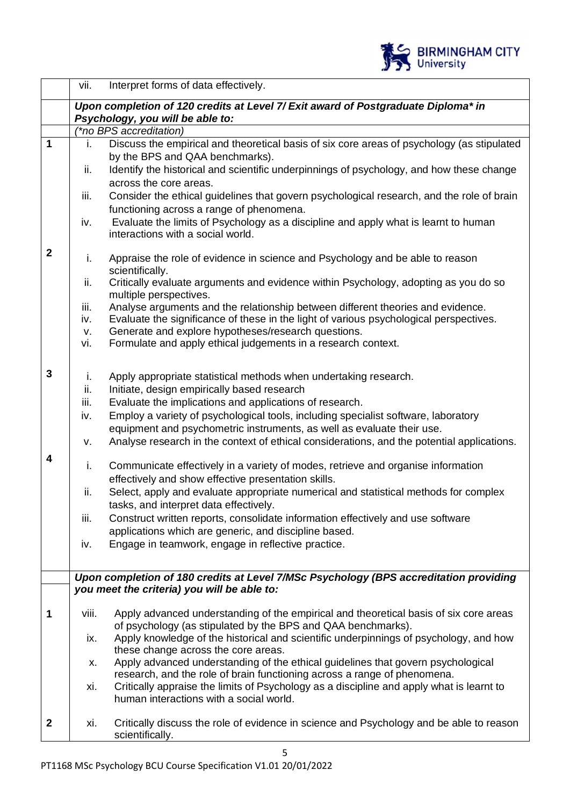

|                | vii.  | Interpret forms of data effectively.                                                                                                |
|----------------|-------|-------------------------------------------------------------------------------------------------------------------------------------|
|                |       | Upon completion of 120 credits at Level 7/ Exit award of Postgraduate Diploma* in                                                   |
|                |       | Psychology, you will be able to:                                                                                                    |
|                |       | <i>*no BPS accreditation)</i>                                                                                                       |
| $\overline{1}$ | i.    | Discuss the empirical and theoretical basis of six core areas of psychology (as stipulated                                          |
|                | ii.   | by the BPS and QAA benchmarks).<br>Identify the historical and scientific underpinnings of psychology, and how these change         |
|                |       | across the core areas.                                                                                                              |
|                | iii.  | Consider the ethical guidelines that govern psychological research, and the role of brain                                           |
|                |       | functioning across a range of phenomena.                                                                                            |
|                | iv.   | Evaluate the limits of Psychology as a discipline and apply what is learnt to human                                                 |
|                |       | interactions with a social world.                                                                                                   |
| $\mathbf{2}$   |       |                                                                                                                                     |
|                | i.    | Appraise the role of evidence in science and Psychology and be able to reason                                                       |
|                | ii.   | scientifically.<br>Critically evaluate arguments and evidence within Psychology, adopting as you do so                              |
|                |       | multiple perspectives.                                                                                                              |
|                | iii.  | Analyse arguments and the relationship between different theories and evidence.                                                     |
|                | iv.   | Evaluate the significance of these in the light of various psychological perspectives.                                              |
|                | v.    | Generate and explore hypotheses/research questions.                                                                                 |
|                | vi.   | Formulate and apply ethical judgements in a research context.                                                                       |
|                |       |                                                                                                                                     |
| 3              | i.    | Apply appropriate statistical methods when undertaking research.                                                                    |
|                | ii.   | Initiate, design empirically based research                                                                                         |
|                | iii.  | Evaluate the implications and applications of research.                                                                             |
|                | iv.   | Employ a variety of psychological tools, including specialist software, laboratory                                                  |
|                |       | equipment and psychometric instruments, as well as evaluate their use.                                                              |
|                | V.    | Analyse research in the context of ethical considerations, and the potential applications.                                          |
| 4              | i.    | Communicate effectively in a variety of modes, retrieve and organise information                                                    |
|                |       | effectively and show effective presentation skills.                                                                                 |
|                | ii.   | Select, apply and evaluate appropriate numerical and statistical methods for complex                                                |
|                |       | tasks, and interpret data effectively.                                                                                              |
|                | iii.  | Construct written reports, consolidate information effectively and use software                                                     |
|                |       | applications which are generic, and discipline based.                                                                               |
|                | iv.   | Engage in teamwork, engage in reflective practice.                                                                                  |
|                |       |                                                                                                                                     |
|                |       | Upon completion of 180 credits at Level 7/MSc Psychology (BPS accreditation providing                                               |
|                |       | you meet the criteria) you will be able to:                                                                                         |
| 1              | viii. | Apply advanced understanding of the empirical and theoretical basis of six core areas                                               |
|                |       | of psychology (as stipulated by the BPS and QAA benchmarks).                                                                        |
|                | ix.   | Apply knowledge of the historical and scientific underpinnings of psychology, and how                                               |
|                |       | these change across the core areas.                                                                                                 |
|                | х.    | Apply advanced understanding of the ethical guidelines that govern psychological                                                    |
|                |       | research, and the role of brain functioning across a range of phenomena.                                                            |
|                | xi.   | Critically appraise the limits of Psychology as a discipline and apply what is learnt to<br>human interactions with a social world. |
|                |       |                                                                                                                                     |
| $\mathbf 2$    | xi.   | Critically discuss the role of evidence in science and Psychology and be able to reason                                             |
|                |       | scientifically.                                                                                                                     |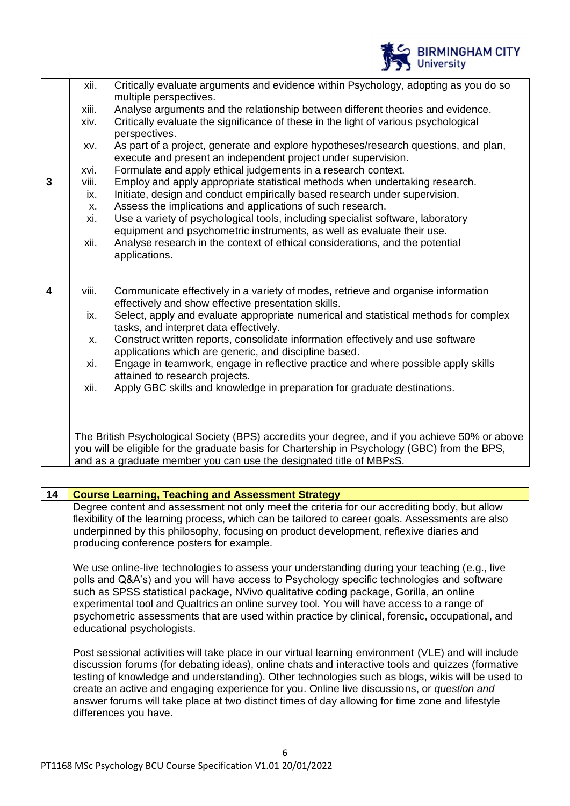|   |       | <b>IF YOU UNIVERSITY</b>                                                                                                                                                                        |
|---|-------|-------------------------------------------------------------------------------------------------------------------------------------------------------------------------------------------------|
|   | xii.  | Critically evaluate arguments and evidence within Psychology, adopting as you do so<br>multiple perspectives.                                                                                   |
|   | xiii. | Analyse arguments and the relationship between different theories and evidence.                                                                                                                 |
|   | xiv.  | Critically evaluate the significance of these in the light of various psychological<br>perspectives.                                                                                            |
|   | XV.   | As part of a project, generate and explore hypotheses/research questions, and plan,<br>execute and present an independent project under supervision.                                            |
|   | xvi.  | Formulate and apply ethical judgements in a research context.                                                                                                                                   |
| 3 | viii. | Employ and apply appropriate statistical methods when undertaking research.                                                                                                                     |
|   | ix.   | Initiate, design and conduct empirically based research under supervision.                                                                                                                      |
|   | X.    | Assess the implications and applications of such research.                                                                                                                                      |
|   | xi.   | Use a variety of psychological tools, including specialist software, laboratory<br>equipment and psychometric instruments, as well as evaluate their use.                                       |
|   | xii.  | Analyse research in the context of ethical considerations, and the potential<br>applications.                                                                                                   |
| 4 | viii. | Communicate effectively in a variety of modes, retrieve and organise information<br>effectively and show effective presentation skills.                                                         |
|   | ix.   | Select, apply and evaluate appropriate numerical and statistical methods for complex<br>tasks, and interpret data effectively.                                                                  |
|   | X.    | Construct written reports, consolidate information effectively and use software<br>applications which are generic, and discipline based.                                                        |
|   | xi.   | Engage in teamwork, engage in reflective practice and where possible apply skills<br>attained to research projects.                                                                             |
|   | xii.  | Apply GBC skills and knowledge in preparation for graduate destinations.                                                                                                                        |
|   |       | The British Psychological Society (BPS) accredits your degree, and if you achieve 50% or above<br>you will be eligible for the graduate basis for Chartership in Psychology (GBC) from the BPS, |

BIRMINGHAM CITY

and as a graduate member you can use the designated title of MBPsS.

| 14 | <b>Course Learning, Teaching and Assessment Strategy</b>                                                                                                                                                                                                                                                                                                                                                                                                                                                                                |
|----|-----------------------------------------------------------------------------------------------------------------------------------------------------------------------------------------------------------------------------------------------------------------------------------------------------------------------------------------------------------------------------------------------------------------------------------------------------------------------------------------------------------------------------------------|
|    | Degree content and assessment not only meet the criteria for our accrediting body, but allow<br>flexibility of the learning process, which can be tailored to career goals. Assessments are also<br>underpinned by this philosophy, focusing on product development, reflexive diaries and<br>producing conference posters for example.                                                                                                                                                                                                 |
|    | We use online-live technologies to assess your understanding during your teaching (e.g., live<br>polls and Q&A's) and you will have access to Psychology specific technologies and software<br>such as SPSS statistical package, NVivo qualitative coding package, Gorilla, an online<br>experimental tool and Qualtrics an online survey tool. You will have access to a range of<br>psychometric assessments that are used within practice by clinical, forensic, occupational, and<br>educational psychologists.                     |
|    | Post sessional activities will take place in our virtual learning environment (VLE) and will include<br>discussion forums (for debating ideas), online chats and interactive tools and quizzes (formative<br>testing of knowledge and understanding). Other technologies such as blogs, wikis will be used to<br>create an active and engaging experience for you. Online live discussions, or question and<br>answer forums will take place at two distinct times of day allowing for time zone and lifestyle<br>differences you have. |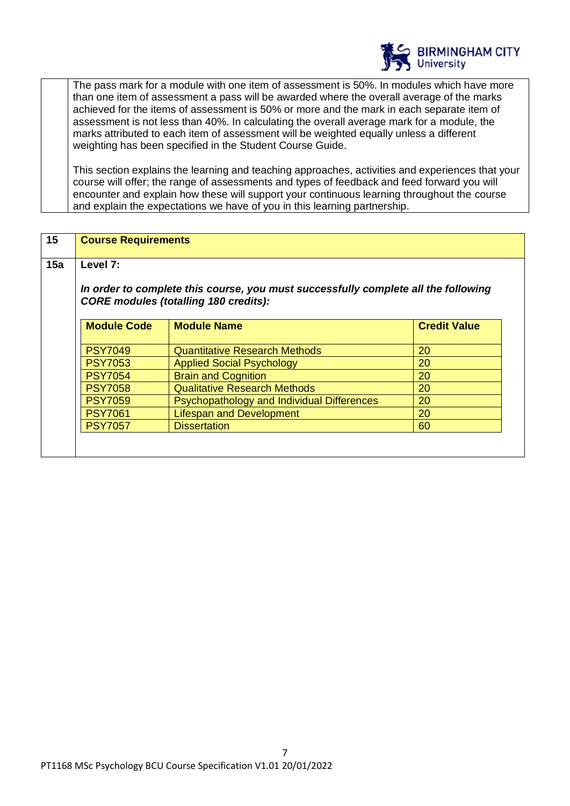

The pass mark for a module with one item of assessment is 50%. In modules which have more than one item of assessment a pass will be awarded where the overall average of the marks achieved for the items of assessment is 50% or more and the mark in each separate item of assessment is not less than 40%. In calculating the overall average mark for a module, the marks attributed to each item of assessment will be weighted equally unless a different weighting has been specified in the Student Course Guide.

This section explains the learning and teaching approaches, activities and experiences that your course will offer; the range of assessments and types of feedback and feed forward you will encounter and explain how these will support your continuous learning throughout the course and explain the expectations we have of you in this learning partnership.

| 15                                                      | <b>Course Requirements</b>                                                                                                         |                                      |                     |
|---------------------------------------------------------|------------------------------------------------------------------------------------------------------------------------------------|--------------------------------------|---------------------|
| 15a                                                     | Level 7:                                                                                                                           |                                      |                     |
|                                                         | In order to complete this course, you must successfully complete all the following<br><b>CORE modules (totalling 180 credits):</b> |                                      |                     |
|                                                         | <b>Module Code</b>                                                                                                                 | <b>Module Name</b>                   | <b>Credit Value</b> |
|                                                         | <b>PSY7049</b>                                                                                                                     | <b>Quantitative Research Methods</b> | 20                  |
|                                                         | <b>PSY7053</b>                                                                                                                     | <b>Applied Social Psychology</b>     | 20                  |
|                                                         | <b>PSY7054</b>                                                                                                                     | <b>Brain and Cognition</b>           | 20                  |
|                                                         | <b>Qualitative Research Methods</b><br>20<br><b>PSY7058</b><br>Psychopathology and Individual Differences<br>20<br><b>PSY7059</b>  |                                      |                     |
|                                                         |                                                                                                                                    |                                      |                     |
| <b>Lifespan and Development</b><br><b>PSY7061</b><br>20 |                                                                                                                                    |                                      |                     |
|                                                         | <b>PSY7057</b>                                                                                                                     | <b>Dissertation</b>                  | 60                  |
|                                                         |                                                                                                                                    |                                      |                     |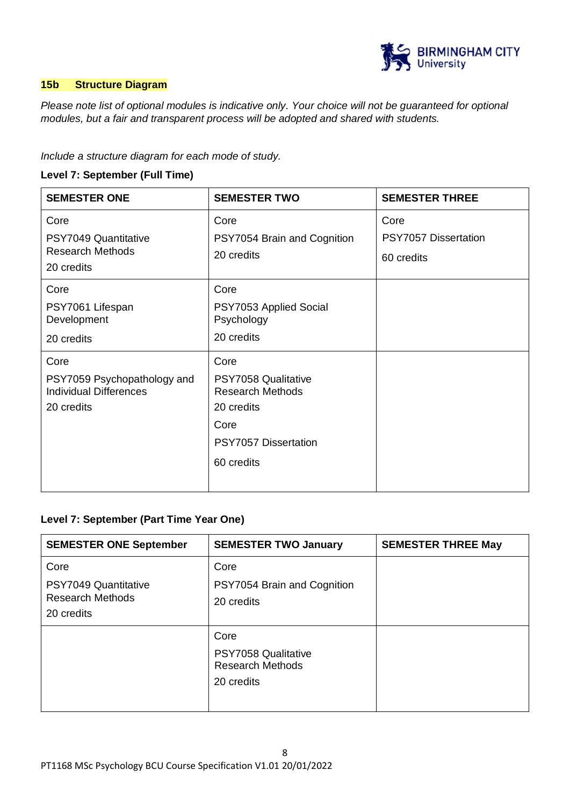

### **15b Structure Diagram**

*Please note list of optional modules is indicative only. Your choice will not be guaranteed for optional modules, but a fair and transparent process will be adopted and shared with students.*

*Include a structure diagram for each mode of study.* 

### **Level 7: September (Full Time)**

| <b>SEMESTER ONE</b>                                                                | <b>SEMESTER TWO</b>                                                                                                       | <b>SEMESTER THREE</b>                      |
|------------------------------------------------------------------------------------|---------------------------------------------------------------------------------------------------------------------------|--------------------------------------------|
| Core<br>PSY7049 Quantitative<br><b>Research Methods</b><br>20 credits              | Core<br>PSY7054 Brain and Cognition<br>20 credits                                                                         | Core<br>PSY7057 Dissertation<br>60 credits |
| Core<br>PSY7061 Lifespan<br>Development<br>20 credits                              | Core<br>PSY7053 Applied Social<br>Psychology<br>20 credits                                                                |                                            |
| Core<br>PSY7059 Psychopathology and<br><b>Individual Differences</b><br>20 credits | Core<br>PSY7058 Qualitative<br><b>Research Methods</b><br>20 credits<br>Core<br><b>PSY7057 Dissertation</b><br>60 credits |                                            |

### **Level 7: September (Part Time Year One)**

| <b>SEMESTER ONE September</b>                                         | <b>SEMESTER TWO January</b>                                          | <b>SEMESTER THREE May</b> |
|-----------------------------------------------------------------------|----------------------------------------------------------------------|---------------------------|
| Core<br>PSY7049 Quantitative<br><b>Research Methods</b><br>20 credits | Core<br>PSY7054 Brain and Cognition<br>20 credits                    |                           |
|                                                                       | Core<br>PSY7058 Qualitative<br><b>Research Methods</b><br>20 credits |                           |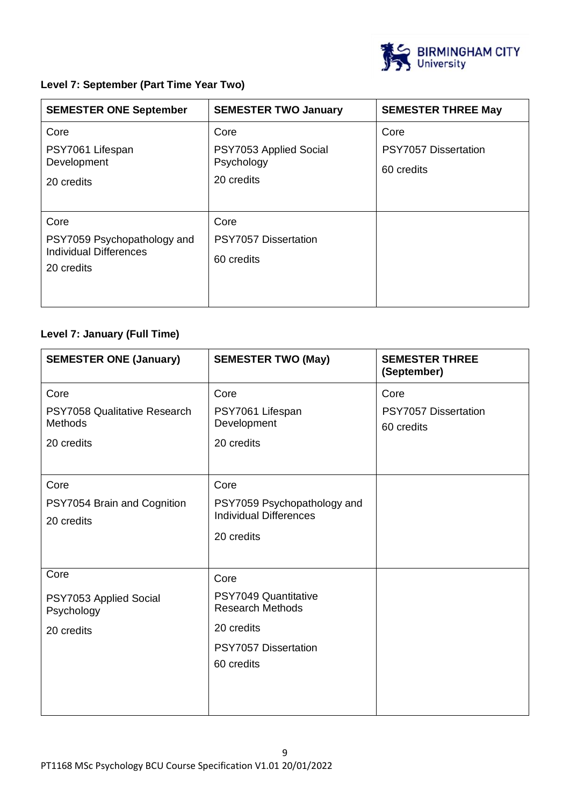

## **Level 7: September (Part Time Year Two)**

| <b>SEMESTER ONE September</b>                                                      | <b>SEMESTER TWO January</b>                                | <b>SEMESTER THREE May</b>                         |
|------------------------------------------------------------------------------------|------------------------------------------------------------|---------------------------------------------------|
| Core<br>PSY7061 Lifespan<br>Development<br>20 credits                              | Core<br>PSY7053 Applied Social<br>Psychology<br>20 credits | Core<br><b>PSY7057 Dissertation</b><br>60 credits |
| Core<br>PSY7059 Psychopathology and<br><b>Individual Differences</b><br>20 credits | Core<br>PSY7057 Dissertation<br>60 credits                 |                                                   |

# **Level 7: January (Full Time)**

| <b>SEMESTER ONE (January)</b>                                        | <b>SEMESTER TWO (May)</b>                                                                                   | <b>SEMESTER THREE</b><br>(September)              |
|----------------------------------------------------------------------|-------------------------------------------------------------------------------------------------------------|---------------------------------------------------|
| Core<br>PSY7058 Qualitative Research<br><b>Methods</b><br>20 credits | Core<br>PSY7061 Lifespan<br>Development<br>20 credits                                                       | Core<br><b>PSY7057 Dissertation</b><br>60 credits |
| Core<br>PSY7054 Brain and Cognition<br>20 credits                    | Core<br>PSY7059 Psychopathology and<br><b>Individual Differences</b><br>20 credits                          |                                                   |
| Core<br>PSY7053 Applied Social<br>Psychology<br>20 credits           | Core<br>PSY7049 Quantitative<br><b>Research Methods</b><br>20 credits<br>PSY7057 Dissertation<br>60 credits |                                                   |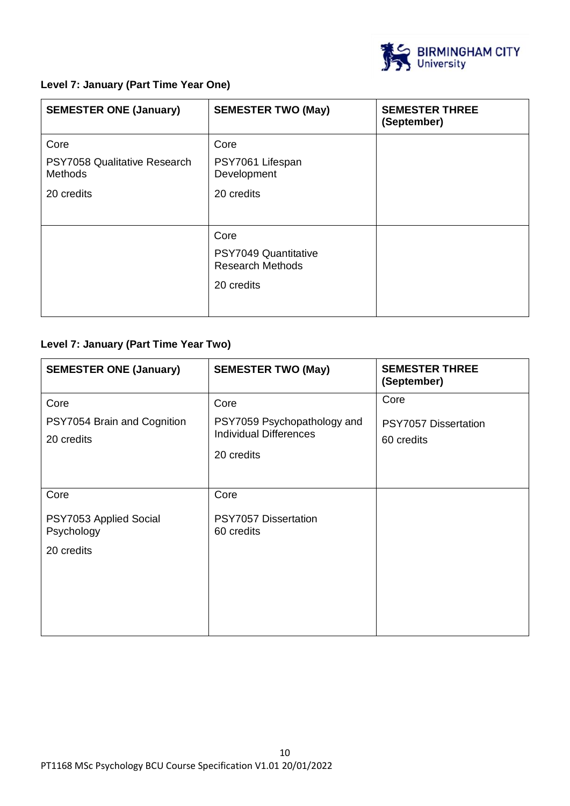

# **Level 7: January (Part Time Year One)**

| <b>SEMESTER ONE (January)</b>           | <b>SEMESTER TWO (May)</b>                       | <b>SEMESTER THREE</b><br>(September) |
|-----------------------------------------|-------------------------------------------------|--------------------------------------|
| Core                                    | Core                                            |                                      |
| PSY7058 Qualitative Research<br>Methods | PSY7061 Lifespan<br>Development                 |                                      |
| 20 credits                              | 20 credits                                      |                                      |
|                                         |                                                 |                                      |
|                                         | Core                                            |                                      |
|                                         | PSY7049 Quantitative<br><b>Research Methods</b> |                                      |
|                                         | 20 credits                                      |                                      |
|                                         |                                                 |                                      |

# **Level 7: January (Part Time Year Two)**

| <b>SEMESTER ONE (January)</b> | <b>SEMESTER TWO (May)</b>     | <b>SEMESTER THREE</b><br>(September) |
|-------------------------------|-------------------------------|--------------------------------------|
| Core                          | Core                          | Core                                 |
| PSY7054 Brain and Cognition   | PSY7059 Psychopathology and   | PSY7057 Dissertation                 |
| 20 credits                    | <b>Individual Differences</b> | 60 credits                           |
|                               | 20 credits                    |                                      |
|                               |                               |                                      |
| Core                          | Core                          |                                      |
| PSY7053 Applied Social        | PSY7057 Dissertation          |                                      |
| Psychology                    | 60 credits                    |                                      |
| 20 credits                    |                               |                                      |
|                               |                               |                                      |
|                               |                               |                                      |
|                               |                               |                                      |
|                               |                               |                                      |